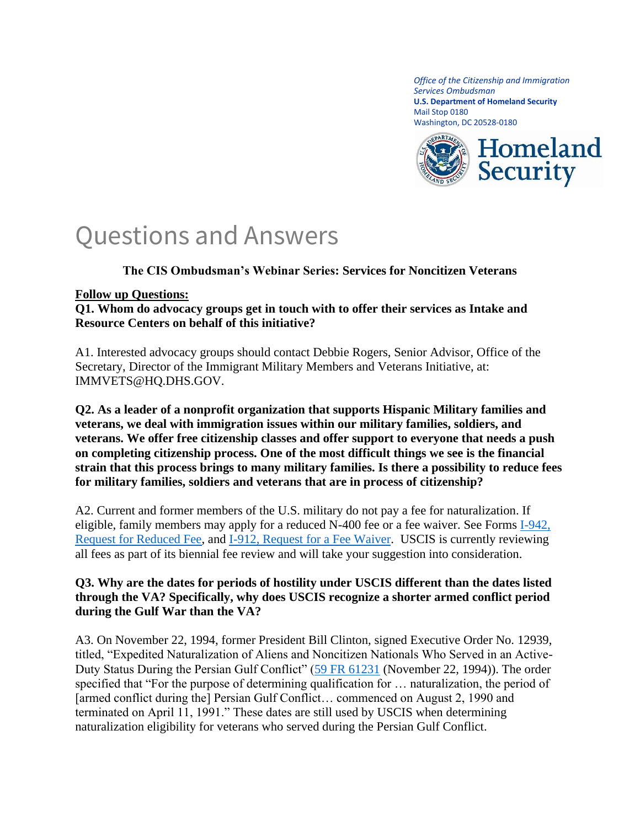*Office of the Citizenship and Immigration Services Ombudsman* **U.S. Department of Homeland Security** Mail Stop 0180 Washington, DC 20528-0180



# Questions and Answers

#### **The CIS Ombudsman's Webinar Series: Services for Noncitizen Veterans**

#### **Follow up Questions:**

**Q1. Whom do advocacy groups get in touch with to offer their services as Intake and Resource Centers on behalf of this initiative?**

A1. Interested advocacy groups should contact Debbie Rogers, Senior Advisor, Office of the Secretary, Director of the Immigrant Military Members and Veterans Initiative, at: IMMVETS@HQ.DHS.GOV.

**Q2. As a leader of a nonprofit organization that supports Hispanic Military families and veterans, we deal with immigration issues within our military families, soldiers, and veterans. We offer free citizenship classes and offer support to everyone that needs a push on completing citizenship process. One of the most difficult things we see is the financial strain that this process brings to many military families. Is there a possibility to reduce fees for military families, soldiers and veterans that are in process of citizenship?**

A2. Current and former members of the U.S. military do not pay a fee for naturalization. If eligible, family members may apply for a reduced N-400 fee or a fee waiver. See Forms [I-942,](https://www.uscis.gov/i-942)  [Request for Reduced Fee,](https://www.uscis.gov/i-942) and [I-912, Request for a Fee Waiver.](https://www.uscis.gov/i-912) USCIS is currently reviewing all fees as part of its biennial fee review and will take your suggestion into consideration.

#### **Q3. Why are the dates for periods of hostility under USCIS different than the dates listed through the VA? Specifically, why does USCIS recognize a shorter armed conflict period during the Gulf War than the VA?**

A3. On November 22, 1994, former President Bill Clinton, signed Executive Order No. 12939, titled, "Expedited Naturalization of Aliens and Noncitizen Nationals Who Served in an Active-Duty Status During the Persian Gulf Conflict" [\(59 FR 61231](https://www.govinfo.gov/content/pkg/FR-1994-11-29/html/94-29541.htm) (November 22, 1994)). The order specified that "For the purpose of determining qualification for … naturalization, the period of [armed conflict during the] Persian Gulf Conflict… commenced on August 2, 1990 and terminated on April 11, 1991." These dates are still used by USCIS when determining naturalization eligibility for veterans who served during the Persian Gulf Conflict.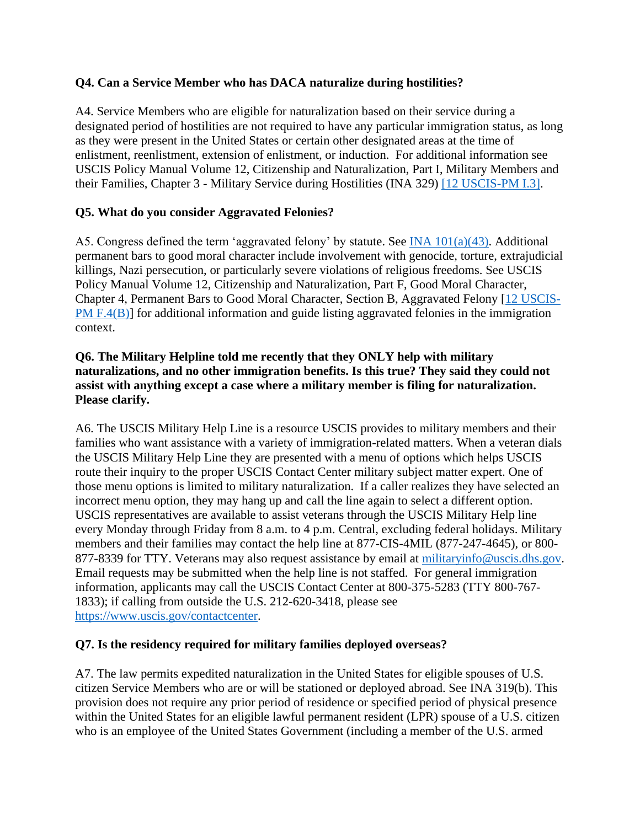## **Q4. Can a Service Member who has DACA naturalize during hostilities?**

A4. Service Members who are eligible for naturalization based on their service during a designated period of hostilities are not required to have any particular immigration status, as long as they were present in the United States or certain other designated areas at the time of enlistment, reenlistment, extension of enlistment, or induction. For additional information see USCIS Policy Manual Volume 12, Citizenship and Naturalization, Part I, Military Members and their Families, Chapter 3 - Military Service during Hostilities (INA 329) [\[12 USCIS-PM I.3\].](https://www.uscis.gov/policy-manual/volume-12-part-i-chapter-3#footnotelink-15)

# **Q5. What do you consider Aggravated Felonies?**

A5. Congress defined the term 'aggravated felony' by statute. See [INA 101\(a\)\(43\).](http://uscode.house.gov/view.xhtml?req=granuleid:USC-prelim-title8-section1101&num=0&edition=prelim) Additional permanent bars to good moral character include involvement with genocide, torture, extrajudicial killings, Nazi persecution, or particularly severe violations of religious freedoms. See USCIS Policy Manual Volume 12, Citizenship and Naturalization, Part F, Good Moral Character, Chapter 4, Permanent Bars to Good Moral Character, Section B, Aggravated Felony [\[12 USCIS-](https://www.uscis.gov/policy-manual/volume-12-part-f-chapter-4#S-B)[PM F.4\(B\)\]](https://www.uscis.gov/policy-manual/volume-12-part-f-chapter-4#S-B) for additional information and guide listing aggravated felonies in the immigration context.

## **Q6. The Military Helpline told me recently that they ONLY help with military naturalizations, and no other immigration benefits. Is this true? They said they could not assist with anything except a case where a military member is filing for naturalization. Please clarify.**

A6. The USCIS Military Help Line is a resource USCIS provides to military members and their families who want assistance with a variety of immigration-related matters. When a veteran dials the USCIS Military Help Line they are presented with a menu of options which helps USCIS route their inquiry to the proper USCIS Contact Center military subject matter expert. One of those menu options is limited to military naturalization. If a caller realizes they have selected an incorrect menu option, they may hang up and call the line again to select a different option. USCIS representatives are available to assist veterans through the USCIS Military Help line every Monday through Friday from 8 a.m. to 4 p.m. Central, excluding federal holidays. Military members and their families may contact the help line at 877-CIS-4MIL (877-247-4645), or 800 877-8339 for TTY. Veterans may also request assistance by email at [militaryinfo@uscis.dhs.gov.](mailto:militaryinfo@uscis.dhs.gov) Email requests may be submitted when the help line is not staffed. For general immigration information, applicants may call the USCIS Contact Center at 800-375-5283 (TTY 800-767- 1833); if calling from outside the U.S. 212-620-3418, please see [https://www.uscis.gov/contactcenter.](https://www.uscis.gov/contactcenter)

#### **Q7. Is the residency required for military families deployed overseas?**

A7. The law permits expedited naturalization in the United States for eligible spouses of U.S. citizen Service Members who are or will be stationed or deployed abroad. See INA 319(b). This provision does not require any prior period of residence or specified period of physical presence within the United States for an eligible lawful permanent resident (LPR) spouse of a U.S. citizen who is an employee of the United States Government (including a member of the U.S. armed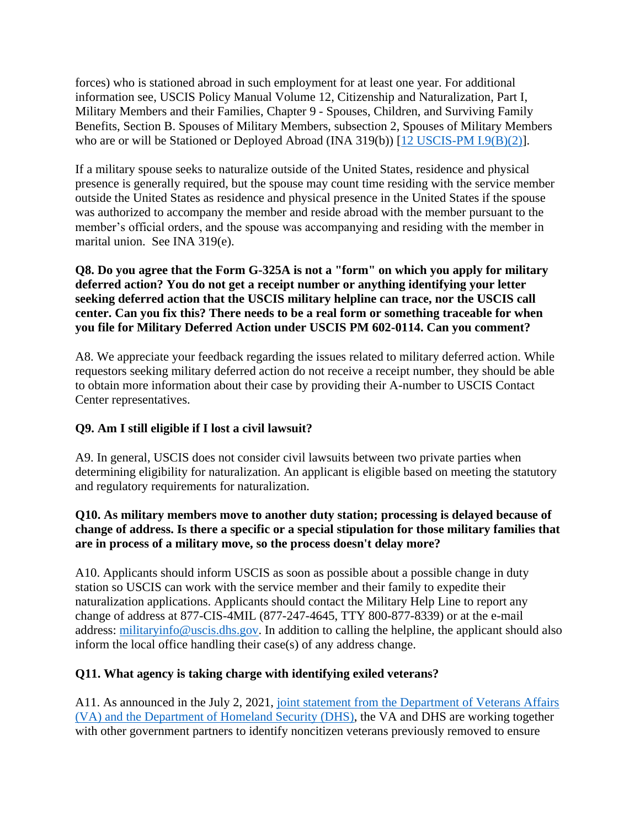forces) who is stationed abroad in such employment for at least one year. For additional information see, USCIS Policy Manual Volume 12, Citizenship and Naturalization, Part I, Military Members and their Families, Chapter 9 - Spouses, Children, and Surviving Family Benefits, Section B. Spouses of Military Members, subsection 2, Spouses of Military Members who are or will be Stationed or Deployed Abroad (INA 319(b)) [\[12 USCIS-PM I.9\(B\)\(2\)\]](https://www.uscis.gov/policy-manual/volume-12-part-i-chapter-9).

If a military spouse seeks to naturalize outside of the United States, residence and physical presence is generally required, but the spouse may count time residing with the service member outside the United States as residence and physical presence in the United States if the spouse was authorized to accompany the member and reside abroad with the member pursuant to the member's official orders, and the spouse was accompanying and residing with the member in marital union. See INA 319(e).

**Q8. Do you agree that the Form G-325A is not a "form" on which you apply for military deferred action? You do not get a receipt number or anything identifying your letter seeking deferred action that the USCIS military helpline can trace, nor the USCIS call center. Can you fix this? There needs to be a real form or something traceable for when you file for Military Deferred Action under USCIS PM 602-0114. Can you comment?**

A8. We appreciate your feedback regarding the issues related to military deferred action. While requestors seeking military deferred action do not receive a receipt number, they should be able to obtain more information about their case by providing their A-number to USCIS Contact Center representatives.

# **Q9. Am I still eligible if I lost a civil lawsuit?**

A9. In general, USCIS does not consider civil lawsuits between two private parties when determining eligibility for naturalization. An applicant is eligible based on meeting the statutory and regulatory requirements for naturalization.

## **Q10. As military members move to another duty station; processing is delayed because of change of address. Is there a specific or a special stipulation for those military families that are in process of a military move, so the process doesn't delay more?**

A10. Applicants should inform USCIS as soon as possible about a possible change in duty station so USCIS can work with the service member and their family to expedite their naturalization applications. Applicants should contact the Military Help Line to report any change of address at 877-CIS-4MIL (877-247-4645, TTY 800-877-8339) or at the e-mail address: [militaryinfo@uscis.dhs.gov.](mailto:militaryinfo@uscis.dhs.gov) In addition to calling the helpline, the applicant should also inform the local office handling their case(s) of any address change.

# **Q11. What agency is taking charge with identifying exiled veterans?**

A11. As announced in the July 2, 2021, joint statement from the Department of Veterans Affairs [\(VA\) and the Department of Homeland Security \(DHS\),](https://www.dhs.gov/news/2021/07/02/dhs-va-announce-initiative-support-noncitizen-service-members-veterans-and-immediate) the VA and DHS are working together with other government partners to identify noncitizen veterans previously removed to ensure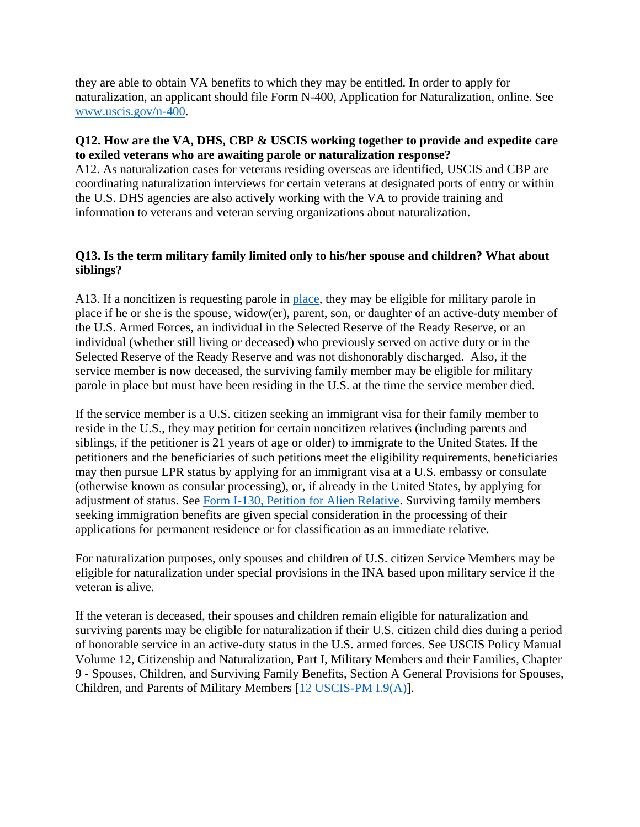they are able to obtain VA benefits to which they may be entitled. In order to apply for naturalization, an applicant should file Form N-400, Application for Naturalization, online. See [www.uscis.gov/n-400.](https://www.uscis.gov/n-400)

#### **Q12. How are the VA, DHS, CBP & USCIS working together to provide and expedite care to exiled veterans who are awaiting parole or naturalization response?**

A12. As naturalization cases for veterans residing overseas are identified, USCIS and CBP are coordinating naturalization interviews for certain veterans at designated ports of entry or within the U.S. DHS agencies are also actively working with the VA to provide training and information to veterans and veteran serving organizations about naturalization.

#### **Q13. Is the term military family limited only to his/her spouse and children? What about siblings?**

A13. If a noncitizen is requesting parole in [place,](https://www.uscis.gov/sites/default/files/document/policy-manual-afm/afm21-external.pdf) they may be eligible for military parole in place if he or she is the spouse, widow(er), parent, son, or daughter of an active-duty member of the U.S. Armed Forces, an individual in the Selected Reserve of the Ready Reserve, or an individual (whether still living or deceased) who previously served on active duty or in the Selected Reserve of the Ready Reserve and was not dishonorably discharged. Also, if the service member is now deceased, the surviving family member may be eligible for military parole in place but must have been residing in the U.S. at the time the service member died.

If the service member is a U.S. citizen seeking an immigrant visa for their family member to reside in the U.S., they may petition for certain noncitizen relatives (including parents and siblings, if the petitioner is 21 years of age or older) to immigrate to the United States. If the petitioners and the beneficiaries of such petitions meet the eligibility requirements, beneficiaries may then pursue LPR status by applying for an immigrant visa at a U.S. embassy or consulate (otherwise known as consular processing), or, if already in the United States, by applying for adjustment of status. See [Form I-130, Petition for Alien Relative.](https://www.uscis.gov/i-130) Surviving family members seeking immigration benefits are given special consideration in the processing of their applications for permanent residence or for classification as an immediate relative.

For naturalization purposes, only spouses and children of U.S. citizen Service Members may be eligible for naturalization under special provisions in the INA based upon military service if the veteran is alive.

If the veteran is deceased, their spouses and children remain eligible for naturalization and surviving parents may be eligible for naturalization if their U.S. citizen child dies during a period of honorable service in an active-duty status in the U.S. armed forces. See USCIS Policy Manual Volume 12, Citizenship and Naturalization, Part I, Military Members and their Families, Chapter 9 - Spouses, Children, and Surviving Family Benefits, Section A General Provisions for Spouses, Children, and Parents of Military Members [\[12 USCIS-PM I.9\(A\)\]](https://www.uscis.gov/policy-manual/volume-12-part-i-chapter-9).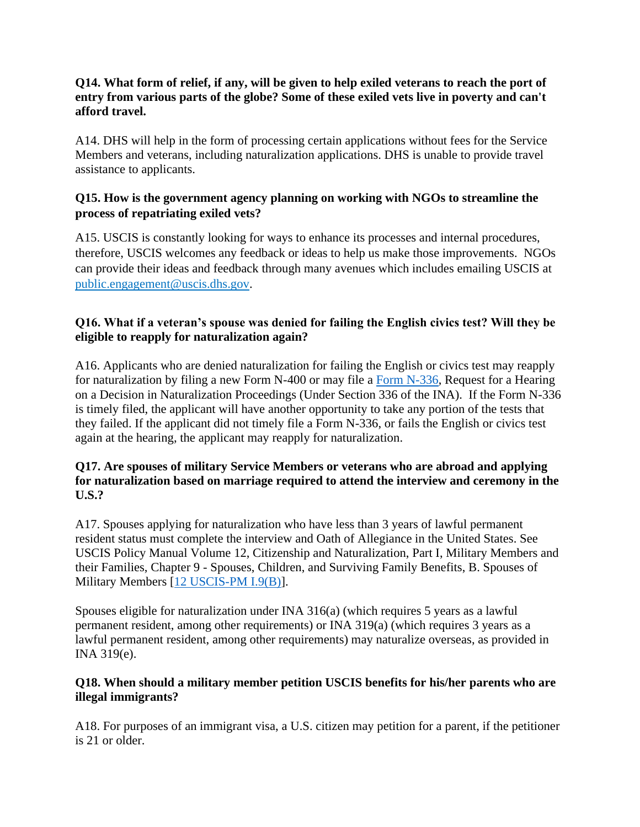#### **Q14. What form of relief, if any, will be given to help exiled veterans to reach the port of entry from various parts of the globe? Some of these exiled vets live in poverty and can't afford travel.**

A14. DHS will help in the form of processing certain applications without fees for the Service Members and veterans, including naturalization applications. DHS is unable to provide travel assistance to applicants.

# **Q15. How is the government agency planning on working with NGOs to streamline the process of repatriating exiled vets?**

A15. USCIS is constantly looking for ways to enhance its processes and internal procedures, therefore, USCIS welcomes any feedback or ideas to help us make those improvements. NGOs can provide their ideas and feedback through many avenues which includes emailing USCIS at [public.engagement@uscis.dhs.gov.](mailto:public.engagement@uscis.dhs.gov)

## **Q16. What if a veteran's spouse was denied for failing the English civics test? Will they be eligible to reapply for naturalization again?**

A16. Applicants who are denied naturalization for failing the English or civics test may reapply for naturalization by filing a new Form N-400 or may file a [Form N-336,](https://www.uscis.gov/n-336) Request for a Hearing on a Decision in Naturalization Proceedings (Under Section 336 of the INA). If the Form N-336 is timely filed, the applicant will have another opportunity to take any portion of the tests that they failed. If the applicant did not timely file a Form N-336, or fails the English or civics test again at the hearing, the applicant may reapply for naturalization.

#### **Q17. Are spouses of military Service Members or veterans who are abroad and applying for naturalization based on marriage required to attend the interview and ceremony in the U.S.?**

A17. Spouses applying for naturalization who have less than 3 years of lawful permanent resident status must complete the interview and Oath of Allegiance in the United States. See USCIS Policy Manual Volume 12, Citizenship and Naturalization, Part I, Military Members and their Families, Chapter 9 - Spouses, Children, and Surviving Family Benefits, B. Spouses of Military Members [\[12 USCIS-PM I.9\(B\)\]](https://www.uscis.gov/policy-manual/volume-12-part-i-chapter-9).

Spouses eligible for naturalization under INA 316(a) (which requires 5 years as a lawful permanent resident, among other requirements) or INA 319(a) (which requires 3 years as a lawful permanent resident, among other requirements) may naturalize overseas, as provided in INA 319(e).

## **Q18. When should a military member petition USCIS benefits for his/her parents who are illegal immigrants?**

A18. For purposes of an immigrant visa, a U.S. citizen may petition for a parent, if the petitioner is 21 or older.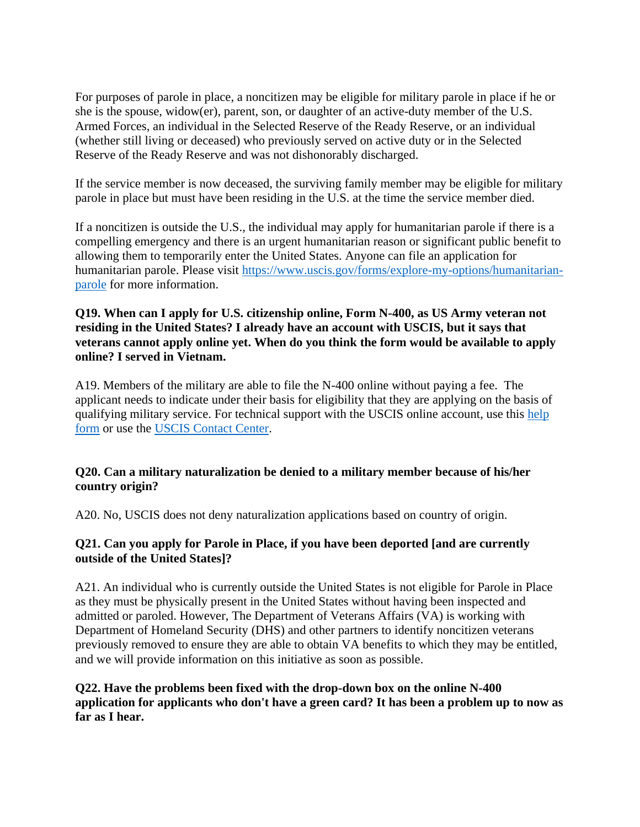For purposes of parole in place, a noncitizen may be eligible for military parole in place if he or she is the spouse, widow(er), parent, son, or daughter of an active-duty member of the U.S. Armed Forces, an individual in the Selected Reserve of the Ready Reserve, or an individual (whether still living or deceased) who previously served on active duty or in the Selected Reserve of the Ready Reserve and was not dishonorably discharged.

If the service member is now deceased, the surviving family member may be eligible for military parole in place but must have been residing in the U.S. at the time the service member died.

If a noncitizen is outside the U.S., the individual may apply for humanitarian parole if there is a compelling emergency and there is an urgent humanitarian reason or significant public benefit to allowing them to temporarily enter the United States. Anyone can file an application for humanitarian parole. Please visit [https://www.uscis.gov/forms/explore-my-options/humanitarian](https://www.uscis.gov/forms/explore-my-options/humanitarian-parole)[parole](https://www.uscis.gov/forms/explore-my-options/humanitarian-parole) for more information.

#### **Q19. When can I apply for U.S. citizenship online, Form N-400, as US Army veteran not residing in the United States? I already have an account with USCIS, but it says that veterans cannot apply online yet. When do you think the form would be available to apply online? I served in Vietnam.**

A19. Members of the military are able to file the N-400 online without paying a fee. The applicant needs to indicate under their basis for eligibility that they are applying on the basis of qualifying military service. For technical support with the USCIS online account, use this [help](https://my.uscis.gov/account/v1/needhelp)  [form](https://my.uscis.gov/account/v1/needhelp) or use the [USCIS Contact Center.](https://www.uscis.gov/contactcenter)

#### **Q20. Can a military naturalization be denied to a military member because of his/her country origin?**

A20. No, USCIS does not deny naturalization applications based on country of origin.

#### **Q21. Can you apply for Parole in Place, if you have been deported [and are currently outside of the United States]?**

A21. An individual who is currently outside the United States is not eligible for Parole in Place as they must be physically present in the United States without having been inspected and admitted or paroled. However, The Department of Veterans Affairs (VA) is working with Department of Homeland Security (DHS) and other partners to identify noncitizen veterans previously removed to ensure they are able to obtain VA benefits to which they may be entitled, and we will provide information on this initiative as soon as possible.

#### **Q22. Have the problems been fixed with the drop-down box on the online N-400 application for applicants who don't have a green card? It has been a problem up to now as far as I hear.**